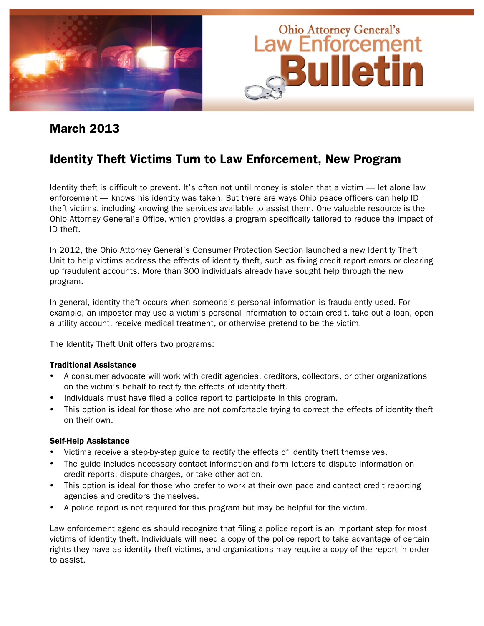

### March 2013

# Identity Theft Victims Turn to Law Enforcement, New Program

Identity theft is difficult to prevent. It's often not until money is stolen that a victim — let alone law enforcement — knows his identity was taken. But there are ways Ohio peace officers can help ID theft victims, including knowing the services available to assist them. One valuable resource is the Ohio Attorney General's Office, which provides a program specifically tailored to reduce the impact of ID theft.

In 2012, the Ohio Attorney General's Consumer Protection Section launched a new Identity Theft Unit to help victims address the effects of identity theft, such as fixing credit report errors or clearing up fraudulent accounts. More than 300 individuals already have sought help through the new program.

In general, identity theft occurs when someone's personal information is fraudulently used. For example, an imposter may use a victim's personal information to obtain credit, take out a loan, open a utility account, receive medical treatment, or otherwise pretend to be the victim.

The Identity Theft Unit offers two programs:

#### Traditional Assistance

- A consumer advocate will work with credit agencies, creditors, collectors, or other organizations on the victim's behalf to rectify the effects of identity theft.
- Individuals must have filed a police report to participate in this program.
- This option is ideal for those who are not comfortable trying to correct the effects of identity theft on their own.

#### Self-Help Assistance

- Victims receive a step-by-step guide to rectify the effects of identity theft themselves.
- The guide includes necessary contact information and form letters to dispute information on credit reports, dispute charges, or take other action.
- This option is ideal for those who prefer to work at their own pace and contact credit reporting agencies and creditors themselves.
- A police report is not required for this program but may be helpful for the victim.

Law enforcement agencies should recognize that filing a police report is an important step for most victims of identity theft. Individuals will need a copy of the police report to take advantage of certain rights they have as identity theft victims, and organizations may require a copy of the report in order to assist.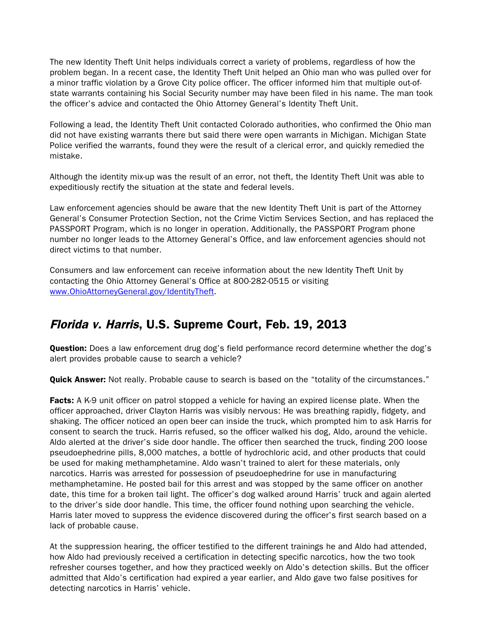The new Identity Theft Unit helps individuals correct a variety of problems, regardless of how the problem began. In a recent case, the Identity Theft Unit helped an Ohio man who was pulled over for a minor traffic violation by a Grove City police officer. The officer informed him that multiple out-ofstate warrants containing his Social Security number may have been filed in his name. The man took the officer's advice and contacted the Ohio Attorney General's Identity Theft Unit.

Following a lead, the Identity Theft Unit contacted Colorado authorities, who confirmed the Ohio man did not have existing warrants there but said there were open warrants in Michigan. Michigan State Police verified the warrants, found they were the result of a clerical error, and quickly remedied the mistake.

Although the identity mix-up was the result of an error, not theft, the Identity Theft Unit was able to expeditiously rectify the situation at the state and federal levels.

Law enforcement agencies should be aware that the new Identity Theft Unit is part of the Attorney General's Consumer Protection Section, not the Crime Victim Services Section, and has replaced the PASSPORT Program, which is no longer in operation. Additionally, the PASSPORT Program phone number no longer leads to the Attorney General's Office, and law enforcement agencies should not direct victims to that number.

Consumers and law enforcement can receive information about the new Identity Theft Unit by contacting the Ohio Attorney General's Office at 800-282-0515 or visiting [www.OhioAttorneyGeneral.gov/IdentityTheft.](www.OhioAttorneyGeneral.gov/IdentityTheft)

# Florida v. Harris, U.S. Supreme Court, Feb. 19, 2013

**Question:** Does a law enforcement drug dog's field performance record determine whether the dog's alert provides probable cause to search a vehicle?

Quick Answer: Not really. Probable cause to search is based on the "totality of the circumstances."

Facts: A K-9 unit officer on patrol stopped a vehicle for having an expired license plate. When the officer approached, driver Clayton Harris was visibly nervous: He was breathing rapidly, fidgety, and shaking. The officer noticed an open beer can inside the truck, which prompted him to ask Harris for consent to search the truck. Harris refused, so the officer walked his dog, Aldo, around the vehicle. Aldo alerted at the driver's side door handle. The officer then searched the truck, finding 200 loose pseudoephedrine pills, 8,000 matches, a bottle of hydrochloric acid, and other products that could be used for making methamphetamine. Aldo wasn't trained to alert for these materials, only narcotics. Harris was arrested for possession of pseudoephedrine for use in manufacturing methamphetamine. He posted bail for this arrest and was stopped by the same officer on another date, this time for a broken tail light. The officer's dog walked around Harris' truck and again alerted to the driver's side door handle. This time, the officer found nothing upon searching the vehicle. Harris later moved to suppress the evidence discovered during the officer's first search based on a lack of probable cause.

At the suppression hearing, the officer testified to the different trainings he and Aldo had attended, how Aldo had previously received a certification in detecting specific narcotics, how the two took refresher courses together, and how they practiced weekly on Aldo's detection skills. But the officer admitted that Aldo's certification had expired a year earlier, and Aldo gave two false positives for detecting narcotics in Harris' vehicle.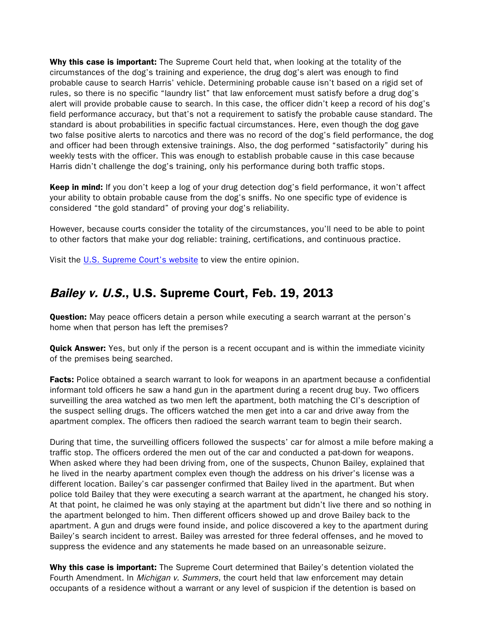Why this case is important: The Supreme Court held that, when looking at the totality of the circumstances of the dog's training and experience, the drug dog's alert was enough to find probable cause to search Harris' vehicle. Determining probable cause isn't based on a rigid set of rules, so there is no specific "laundry list" that law enforcement must satisfy before a drug dog's alert will provide probable cause to search. In this case, the officer didn't keep a record of his dog's field performance accuracy, but that's not a requirement to satisfy the probable cause standard. The standard is about probabilities in specific factual circumstances. Here, even though the dog gave two false positive alerts to narcotics and there was no record of the dog's field performance, the dog and officer had been through extensive trainings. Also, the dog performed "satisfactorily" during his weekly tests with the officer. This was enough to establish probable cause in this case because Harris didn't challenge the dog's training, only his performance during both traffic stops.

Keep in mind: If you don't keep a log of your drug detection dog's field performance, it won't affect your ability to obtain probable cause from the dog's sniffs. No one specific type of evidence is considered "the gold standard" of proving your dog's reliability.

However, because courts consider the totality of the circumstances, you'll need to be able to point to other factors that make your dog reliable: training, certifications, and continuous practice.

Visit the [U.S. Supreme Court's website](http://www.supremecourt.gov/opinions/12pdf/11-817_5if6.pdf) to view the entire opinion.

### Bailey v. U.S., U.S. Supreme Court, Feb. 19, 2013

**Question:** May peace officers detain a person while executing a search warrant at the person's home when that person has left the premises?

**Quick Answer:** Yes, but only if the person is a recent occupant and is within the immediate vicinity of the premises being searched.

**Facts:** Police obtained a search warrant to look for weapons in an apartment because a confidential informant told officers he saw a hand gun in the apartment during a recent drug buy. Two officers surveilling the area watched as two men left the apartment, both matching the CI's description of the suspect selling drugs. The officers watched the men get into a car and drive away from the apartment complex. The officers then radioed the search warrant team to begin their search.

During that time, the surveilling officers followed the suspects' car for almost a mile before making a traffic stop. The officers ordered the men out of the car and conducted a pat-down for weapons. When asked where they had been driving from, one of the suspects, Chunon Bailey, explained that he lived in the nearby apartment complex even though the address on his driver's license was a different location. Bailey's car passenger confirmed that Bailey lived in the apartment. But when police told Bailey that they were executing a search warrant at the apartment, he changed his story. At that point, he claimed he was only staying at the apartment but didn't live there and so nothing in the apartment belonged to him. Then different officers showed up and drove Bailey back to the apartment. A gun and drugs were found inside, and police discovered a key to the apartment during Bailey's search incident to arrest. Bailey was arrested for three federal offenses, and he moved to suppress the evidence and any statements he made based on an unreasonable seizure.

Why this case is important: The Supreme Court determined that Bailey's detention violated the Fourth Amendment. In *Michigan v. Summers*, the court held that law enforcement may detain occupants of a residence without a warrant or any level of suspicion if the detention is based on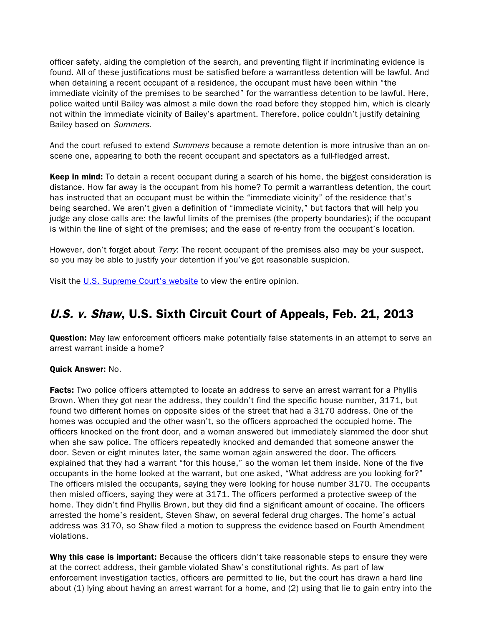officer safety, aiding the completion of the search, and preventing flight if incriminating evidence is found. All of these justifications must be satisfied before a warrantless detention will be lawful. And when detaining a recent occupant of a residence, the occupant must have been within "the immediate vicinity of the premises to be searched" for the warrantless detention to be lawful. Here, police waited until Bailey was almost a mile down the road before they stopped him, which is clearly not within the immediate vicinity of Bailey's apartment. Therefore, police couldn't justify detaining Bailey based on Summers.

And the court refused to extend *Summers* because a remote detention is more intrusive than an onscene one, appearing to both the recent occupant and spectators as a full-fledged arrest.

**Keep in mind:** To detain a recent occupant during a search of his home, the biggest consideration is distance. How far away is the occupant from his home? To permit a warrantless detention, the court has instructed that an occupant must be within the "immediate vicinity" of the residence that's being searched. We aren't given a definition of "immediate vicinity," but factors that will help you judge any close calls are: the lawful limits of the premises (the property boundaries); if the occupant is within the line of sight of the premises; and the ease of re-entry from the occupant's location.

However, don't forget about *Terry*: The recent occupant of the premises also may be your suspect, so you may be able to justify your detention if you've got reasonable suspicion.

Visit the [U.S. Supreme Court's website](http://www.supremecourt.gov/opinions/12pdf/11-770_j4ek.pdf) to view the entire opinion.

# U.S. v. Shaw, U.S. Sixth Circuit Court of Appeals, Feb. 21, 2013

**Question:** May law enforcement officers make potentially false statements in an attempt to serve an arrest warrant inside a home?

#### Quick Answer: No.

**Facts:** Two police officers attempted to locate an address to serve an arrest warrant for a Phyllis Brown. When they got near the address, they couldn't find the specific house number, 3171, but found two different homes on opposite sides of the street that had a 3170 address. One of the homes was occupied and the other wasn't, so the officers approached the occupied home. The officers knocked on the front door, and a woman answered but immediately slammed the door shut when she saw police. The officers repeatedly knocked and demanded that someone answer the door. Seven or eight minutes later, the same woman again answered the door. The officers explained that they had a warrant "for this house," so the woman let them inside. None of the five occupants in the home looked at the warrant, but one asked, "What address are you looking for?" The officers misled the occupants, saying they were looking for house number 3170. The occupants then misled officers, saying they were at 3171. The officers performed a protective sweep of the home. They didn't find Phyllis Brown, but they did find a significant amount of cocaine. The officers arrested the home's resident, Steven Shaw, on several federal drug charges. The home's actual address was 3170, so Shaw filed a motion to suppress the evidence based on Fourth Amendment violations.

Why this case is important: Because the officers didn't take reasonable steps to ensure they were at the correct address, their gamble violated Shaw's constitutional rights. As part of law enforcement investigation tactics, officers are permitted to lie, but the court has drawn a hard line about (1) lying about having an arrest warrant for a home, and (2) using that lie to gain entry into the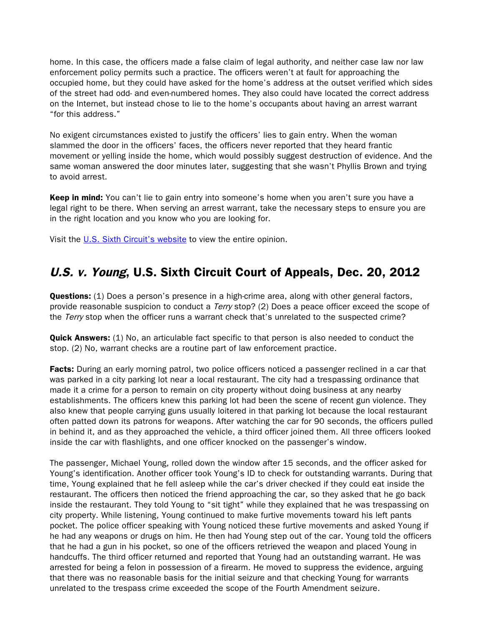home. In this case, the officers made a false claim of legal authority, and neither case law nor law enforcement policy permits such a practice. The officers weren't at fault for approaching the occupied home, but they could have asked for the home's address at the outset verified which sides of the street had odd- and even-numbered homes. They also could have located the correct address on the Internet, but instead chose to lie to the home's occupants about having an arrest warrant "for this address."

No exigent circumstances existed to justify the officers' lies to gain entry. When the woman slammed the door in the officers' faces, the officers never reported that they heard frantic movement or yelling inside the home, which would possibly suggest destruction of evidence. And the same woman answered the door minutes later, suggesting that she wasn't Phyllis Brown and trying to avoid arrest.

Keep in mind: You can't lie to gain entry into someone's home when you aren't sure you have a legal right to be there. When serving an arrest warrant, take the necessary steps to ensure you are in the right location and you know who you are looking for.

Visit the [U.S. Sixth Circuit's website](http://www.ca6.uscourts.gov/opinions.pdf/13a0048p-06.pdf) to view the entire opinion.

# U.S. v. Young, U.S. Sixth Circuit Court of Appeals, Dec. 20, 2012

**Questions:** (1) Does a person's presence in a high-crime area, along with other general factors, provide reasonable suspicion to conduct a *Terry* stop? (2) Does a peace officer exceed the scope of the Terry stop when the officer runs a warrant check that's unrelated to the suspected crime?

**Quick Answers:** (1) No, an articulable fact specific to that person is also needed to conduct the stop. (2) No, warrant checks are a routine part of law enforcement practice.

Facts: During an early morning patrol, two police officers noticed a passenger reclined in a car that was parked in a city parking lot near a local restaurant. The city had a trespassing ordinance that made it a crime for a person to remain on city property without doing business at any nearby establishments. The officers knew this parking lot had been the scene of recent gun violence. They also knew that people carrying guns usually loitered in that parking lot because the local restaurant often patted down its patrons for weapons. After watching the car for 90 seconds, the officers pulled in behind it, and as they approached the vehicle, a third officer joined them. All three officers looked inside the car with flashlights, and one officer knocked on the passenger's window.

The passenger, Michael Young, rolled down the window after 15 seconds, and the officer asked for Young's identification. Another officer took Young's ID to check for outstanding warrants. During that time, Young explained that he fell asleep while the car's driver checked if they could eat inside the restaurant. The officers then noticed the friend approaching the car, so they asked that he go back inside the restaurant. They told Young to "sit tight" while they explained that he was trespassing on city property. While listening, Young continued to make furtive movements toward his left pants pocket. The police officer speaking with Young noticed these furtive movements and asked Young if he had any weapons or drugs on him. He then had Young step out of the car. Young told the officers that he had a gun in his pocket, so one of the officers retrieved the weapon and placed Young in handcuffs. The third officer returned and reported that Young had an outstanding warrant. He was arrested for being a felon in possession of a firearm. He moved to suppress the evidence, arguing that there was no reasonable basis for the initial seizure and that checking Young for warrants unrelated to the trespass crime exceeded the scope of the Fourth Amendment seizure.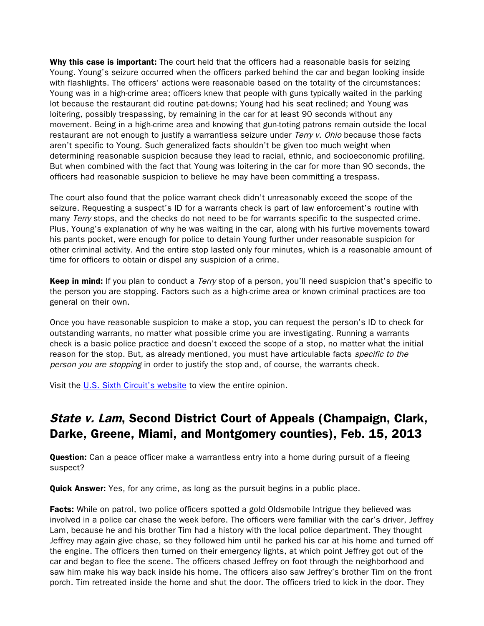Why this case is important: The court held that the officers had a reasonable basis for seizing Young. Young's seizure occurred when the officers parked behind the car and began looking inside with flashlights. The officers' actions were reasonable based on the totality of the circumstances: Young was in a high-crime area; officers knew that people with guns typically waited in the parking lot because the restaurant did routine pat-downs; Young had his seat reclined; and Young was loitering, possibly trespassing, by remaining in the car for at least 90 seconds without any movement. Being in a high-crime area and knowing that gun-toting patrons remain outside the local restaurant are not enough to justify a warrantless seizure under Terry v. Ohio because those facts aren't specific to Young. Such generalized facts shouldn't be given too much weight when determining reasonable suspicion because they lead to racial, ethnic, and socioeconomic profiling. But when combined with the fact that Young was loitering in the car for more than 90 seconds, the officers had reasonable suspicion to believe he may have been committing a trespass.

The court also found that the police warrant check didn't unreasonably exceed the scope of the seizure. Requesting a suspect's ID for a warrants check is part of law enforcement's routine with many Terry stops, and the checks do not need to be for warrants specific to the suspected crime. Plus, Young's explanation of why he was waiting in the car, along with his furtive movements toward his pants pocket, were enough for police to detain Young further under reasonable suspicion for other criminal activity. And the entire stop lasted only four minutes, which is a reasonable amount of time for officers to obtain or dispel any suspicion of a crime.

Keep in mind: If you plan to conduct a *Terry* stop of a person, you'll need suspicion that's specific to the person you are stopping. Factors such as a high-crime area or known criminal practices are too general on their own.

Once you have reasonable suspicion to make a stop, you can request the person's ID to check for outstanding warrants, no matter what possible crime you are investigating. Running a warrants check is a basic police practice and doesn't exceed the scope of a stop, no matter what the initial reason for the stop. But, as already mentioned, you must have articulable facts *specific to the* person you are stopping in order to justify the stop and, of course, the warrants check.

Visit the [U.S. Sixth Circuit's website](http://www.ca6.uscourts.gov/opinions.pdf/13a0034p-06.pdf) to view the entire opinion.

# State v. Lam, Second District Court of Appeals (Champaign, Clark, Darke, Greene, Miami, and Montgomery counties), Feb. 15, 2013

**Question:** Can a peace officer make a warrantless entry into a home during pursuit of a fleeing suspect?

**Quick Answer:** Yes, for any crime, as long as the pursuit begins in a public place.

**Facts:** While on patrol, two police officers spotted a gold Oldsmobile Intrigue they believed was involved in a police car chase the week before. The officers were familiar with the car's driver, Jeffrey Lam, because he and his brother Tim had a history with the local police department. They thought Jeffrey may again give chase, so they followed him until he parked his car at his home and turned off the engine. The officers then turned on their emergency lights, at which point Jeffrey got out of the car and began to flee the scene. The officers chased Jeffrey on foot through the neighborhood and saw him make his way back inside his home. The officers also saw Jeffrey's brother Tim on the front porch. Tim retreated inside the home and shut the door. The officers tried to kick in the door. They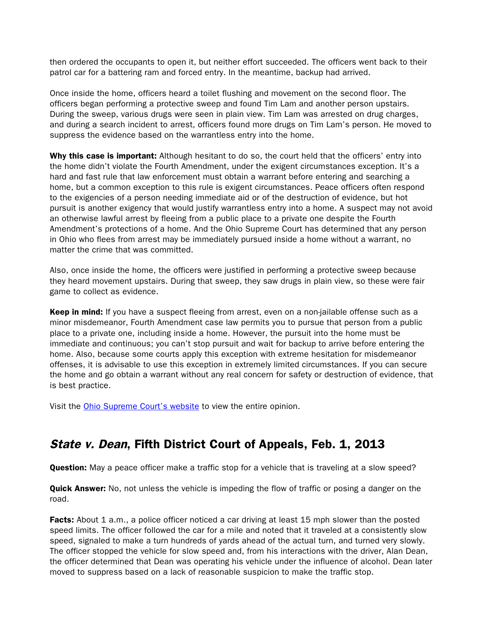then ordered the occupants to open it, but neither effort succeeded. The officers went back to their patrol car for a battering ram and forced entry. In the meantime, backup had arrived.

Once inside the home, officers heard a toilet flushing and movement on the second floor. The officers began performing a protective sweep and found Tim Lam and another person upstairs. During the sweep, various drugs were seen in plain view. Tim Lam was arrested on drug charges, and during a search incident to arrest, officers found more drugs on Tim Lam's person. He moved to suppress the evidence based on the warrantless entry into the home.

Why this case is important: Although hesitant to do so, the court held that the officers' entry into the home didn't violate the Fourth Amendment, under the exigent circumstances exception. It's a hard and fast rule that law enforcement must obtain a warrant before entering and searching a home, but a common exception to this rule is exigent circumstances. Peace officers often respond to the exigencies of a person needing immediate aid or of the destruction of evidence, but hot pursuit is another exigency that would justify warrantless entry into a home. A suspect may not avoid an otherwise lawful arrest by fleeing from a public place to a private one despite the Fourth Amendment's protections of a home. And the Ohio Supreme Court has determined that any person in Ohio who flees from arrest may be immediately pursued inside a home without a warrant, no matter the crime that was committed.

Also, once inside the home, the officers were justified in performing a protective sweep because they heard movement upstairs. During that sweep, they saw drugs in plain view, so these were fair game to collect as evidence.

Keep in mind: If you have a suspect fleeing from arrest, even on a non-jailable offense such as a minor misdemeanor, Fourth Amendment case law permits you to pursue that person from a public place to a private one, including inside a home. However, the pursuit into the home must be immediate and continuous; you can't stop pursuit and wait for backup to arrive before entering the home. Also, because some courts apply this exception with extreme hesitation for misdemeanor offenses, it is advisable to use this exception in extremely limited circumstances. If you can secure the home and go obtain a warrant without any real concern for safety or destruction of evidence, that is best practice.

Visit the [Ohio Supreme Court's website](http://www.supremecourt.ohio.gov/rod/docs/pdf/2/2013/2013-ohio-505.pdf) to view the entire opinion.

# State v. Dean, Fifth District Court of Appeals, Feb. 1, 2013

**Question:** May a peace officer make a traffic stop for a vehicle that is traveling at a slow speed?

**Quick Answer:** No, not unless the vehicle is impeding the flow of traffic or posing a danger on the road.

Facts: About 1 a.m., a police officer noticed a car driving at least 15 mph slower than the posted speed limits. The officer followed the car for a mile and noted that it traveled at a consistently slow speed, signaled to make a turn hundreds of yards ahead of the actual turn, and turned very slowly. The officer stopped the vehicle for slow speed and, from his interactions with the driver, Alan Dean, the officer determined that Dean was operating his vehicle under the influence of alcohol. Dean later moved to suppress based on a lack of reasonable suspicion to make the traffic stop.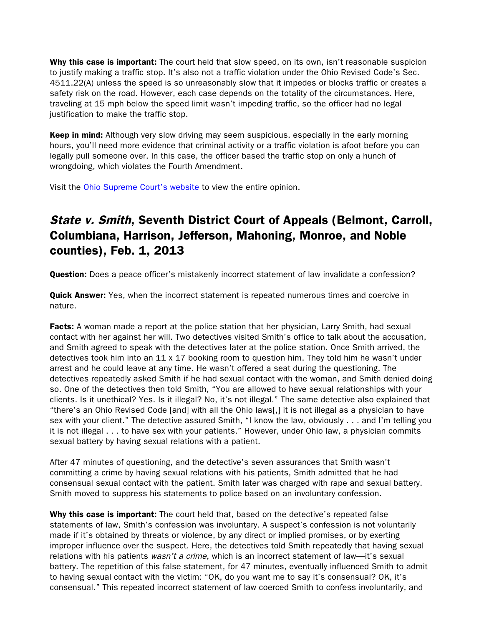Why this case is important: The court held that slow speed, on its own, isn't reasonable suspicion to justify making a traffic stop. It's also not a traffic violation under the Ohio Revised Code's Sec. 4511.22(A) unless the speed is so unreasonably slow that it impedes or blocks traffic or creates a safety risk on the road. However, each case depends on the totality of the circumstances. Here, traveling at 15 mph below the speed limit wasn't impeding traffic, so the officer had no legal justification to make the traffic stop.

Keep in mind: Although very slow driving may seem suspicious, especially in the early morning hours, you'll need more evidence that criminal activity or a traffic violation is afoot before you can legally pull someone over. In this case, the officer based the traffic stop on only a hunch of wrongdoing, which violates the Fourth Amendment.

Visit the [Ohio Supreme Court's website](http://www.supremecourt.ohio.gov/rod/docs/pdf/5/2013/2013-ohio-313.pdf) to view the entire opinion.

# State v. Smith, Seventh District Court of Appeals (Belmont, Carroll, Columbiana, Harrison, Jefferson, Mahoning, Monroe, and Noble counties), Feb. 1, 2013

**Question:** Does a peace officer's mistakenly incorrect statement of law invalidate a confession?

Quick Answer: Yes, when the incorrect statement is repeated numerous times and coercive in nature.

Facts: A woman made a report at the police station that her physician, Larry Smith, had sexual contact with her against her will. Two detectives visited Smith's office to talk about the accusation, and Smith agreed to speak with the detectives later at the police station. Once Smith arrived, the detectives took him into an  $11 \times 17$  booking room to question him. They told him he wasn't under arrest and he could leave at any time. He wasn't offered a seat during the questioning. The detectives repeatedly asked Smith if he had sexual contact with the woman, and Smith denied doing so. One of the detectives then told Smith, "You are allowed to have sexual relationships with your clients. Is it unethical? Yes. Is it illegal? No, it's not illegal." The same detective also explained that "there's an Ohio Revised Code [and] with all the Ohio laws[,] it is not illegal as a physician to have sex with your client." The detective assured Smith, "I know the law, obviously . . . and I'm telling you it is not illegal . . . to have sex with your patients." However, under Ohio law, a physician commits sexual battery by having sexual relations with a patient.

After 47 minutes of questioning, and the detective's seven assurances that Smith wasn't committing a crime by having sexual relations with his patients, Smith admitted that he had consensual sexual contact with the patient. Smith later was charged with rape and sexual battery. Smith moved to suppress his statements to police based on an involuntary confession.

Why this case is important: The court held that, based on the detective's repeated false statements of law, Smith's confession was involuntary. A suspect's confession is not voluntarily made if it's obtained by threats or violence, by any direct or implied promises, or by exerting improper influence over the suspect. Here, the detectives told Smith repeatedly that having sexual relations with his patients wasn't a crime, which is an incorrect statement of law—it's sexual battery. The repetition of this false statement, for 47 minutes, eventually influenced Smith to admit to having sexual contact with the victim: "OK, do you want me to say it's consensual? OK, it's consensual." This repeated incorrect statement of law coerced Smith to confess involuntarily, and